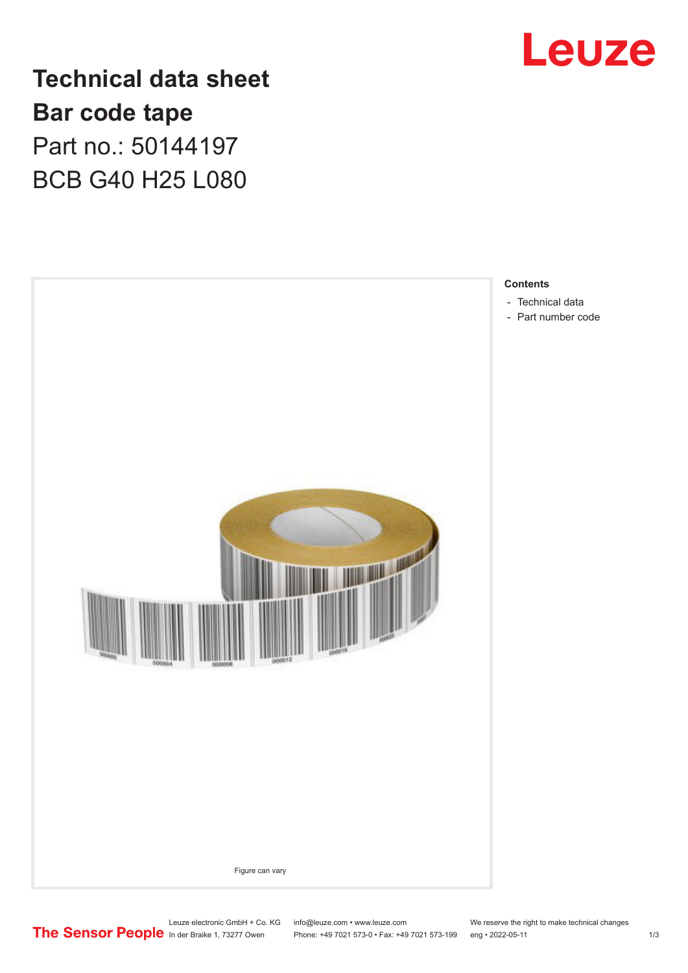

## **Technical data sheet Bar code tape** Part no.: 50144197 BCB G40 H25 L080



Leuze electronic GmbH + Co. KG info@leuze.com • www.leuze.com We reserve the right to make technical changes<br>
The Sensor People in der Braike 1, 73277 Owen Phone: +49 7021 573-0 • Fax: +49 7021 573-199 eng • 2022-05-11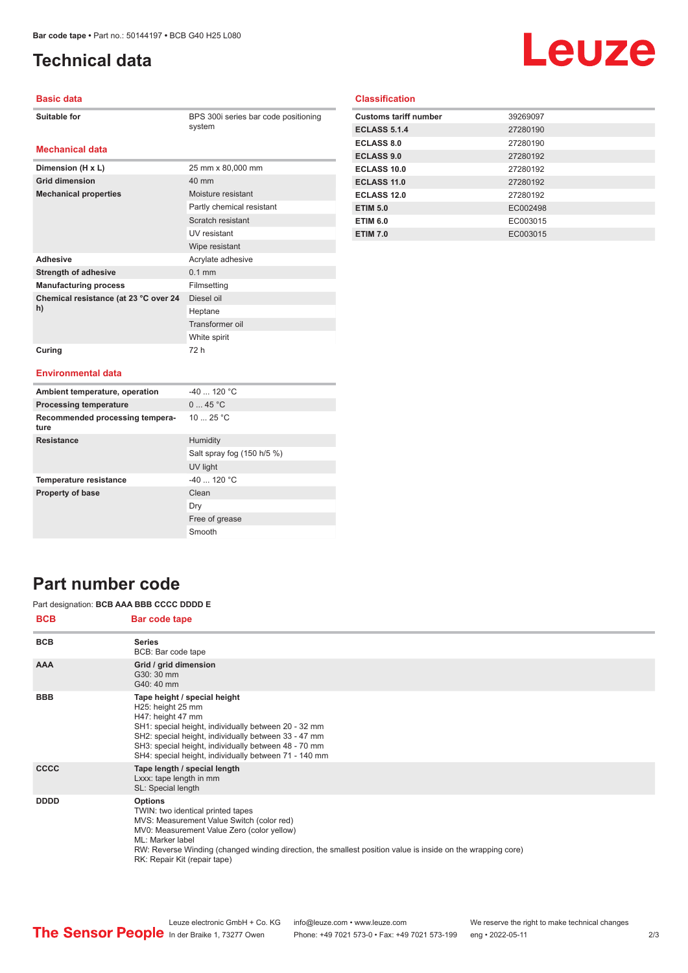**Dimension (H x L)** 25 mm x 80,000 mm

**Mechanical properties** Moisture resistant

Adhesive **Adhesive** Acrylate adhesive **Strength of adhesive** 0.1 mm **Manufacturing process** Filmsetting

**Grid dimension** 40 mm

**Chemical resistance (at 23 °C over 24** 

**Curing** 72 h

## <span id="page-1-0"></span>**Technical data**

# Leuze

#### **Basic data**

| <b>Suitable for</b> |  |
|---------------------|--|
|---------------------|--|

**Mechanical data**

**BPS 300i series bar code positioning** system

Partly chemical resistant Scratch resistant UV resistant Wipe resistant

Diesel oil Heptane Transformer oil White spirit

#### **Classification**

| <b>Customs tariff number</b> | 39269097 |
|------------------------------|----------|
| <b>ECLASS 5.1.4</b>          | 27280190 |
| <b>ECLASS 8.0</b>            | 27280190 |
| <b>ECLASS 9.0</b>            | 27280192 |
| ECLASS 10.0                  | 27280192 |
| ECLASS 11.0                  | 27280192 |
| ECLASS 12.0                  | 27280192 |
| <b>ETIM 5.0</b>              | EC002498 |
| <b>ETIM 6.0</b>              | EC003015 |
| <b>ETIM 7.0</b>              | EC003015 |

#### **Environmental data**

**h)**

| Ambient temperature, operation          | $-40$ 120 °C               |
|-----------------------------------------|----------------------------|
| <b>Processing temperature</b>           | 045 °C                     |
| Recommended processing tempera-<br>ture | 10 $25 °C$                 |
| <b>Resistance</b>                       | Humidity                   |
|                                         | Salt spray fog (150 h/5 %) |
|                                         | UV light                   |
| <b>Temperature resistance</b>           | $-40$ 120 °C               |
| <b>Property of base</b>                 | Clean                      |
|                                         | Dry                        |
|                                         | Free of grease             |
|                                         | Smooth                     |

### **Part number code**

#### Part designation: **BCB AAA BBB CCCC DDDD E**

| <b>BCB</b>  | Bar code tape                                                                                                                                                                                                                                                                                                     |
|-------------|-------------------------------------------------------------------------------------------------------------------------------------------------------------------------------------------------------------------------------------------------------------------------------------------------------------------|
| <b>BCB</b>  | <b>Series</b><br>BCB: Bar code tape                                                                                                                                                                                                                                                                               |
| <b>AAA</b>  | Grid / grid dimension<br>G30: 30 mm<br>G40: 40 mm                                                                                                                                                                                                                                                                 |
| <b>BBB</b>  | Tape height / special height<br>H25: height 25 mm<br>H47: height 47 mm<br>SH1: special height, individually between 20 - 32 mm<br>SH2: special height, individually between 33 - 47 mm<br>SH3: special height, individually between 48 - 70 mm<br>SH4: special height, individually between 71 - 140 mm           |
| <b>CCCC</b> | Tape length / special length<br>Lxxx: tape length in mm<br>SL: Special length                                                                                                                                                                                                                                     |
| <b>DDDD</b> | <b>Options</b><br>TWIN: two identical printed tapes<br>MVS: Measurement Value Switch (color red)<br>MV0: Measurement Value Zero (color yellow)<br>ML: Marker label<br>RW: Reverse Winding (changed winding direction, the smallest position value is inside on the wrapping core)<br>RK: Repair Kit (repair tape) |